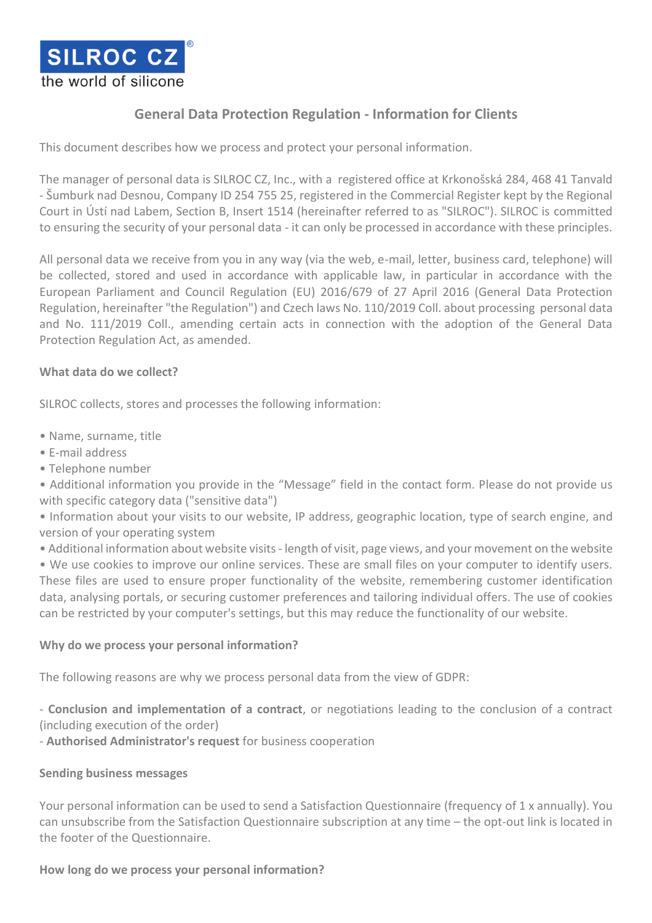

# **General Data Protection Regulation - Information for Clients**

This document describes how we process and protect your personal information.

The manager of personal data is SILROC CZ, Inc., with a registered office at Krkonošská 284, 468 41 Tanvald - Šumburk nad Desnou, Company ID 254 755 25, registered in the Commercial Register kept by the Regional Court in Ústí nad Labem, Section B, Insert 1514 (hereinafter referred to as "SILROC"). SILROC is committed to ensuring the security of your personal data - it can only be processed in accordance with these principles.

All personal data we receive from you in any way (via the web, e-mail, letter, business card, telephone) will be collected, stored and used in accordance with applicable law, in particular in accordance with the European Parliament and Council Regulation (EU) 2016/679 of 27 April 2016 (General Data Protection Regulation, hereinafter "the Regulation") and Czech laws No. 110/2019 Coll. about processing personal data and No. 111/2019 Coll., amending certain acts in connection with the adoption of the General Data Protection Regulation Act, as amended.

#### **What data do we collect?**

SILROC collects, stores and processes the following information:

- Name, surname, title
- E-mail address
- Telephone number

• Additional information you provide in the "Message" field in the contact form. Please do not provide us with specific category data ("sensitive data")

• Information about your visits to our website, IP address, geographic location, type of search engine, and version of your operating system

• Additional information about website visits - length of visit, page views, and your movement on the website

• We use cookies to improve our online services. These are small files on your computer to identify users. These files are used to ensure proper functionality of the website, remembering customer identification data, analysing portals, or securing customer preferences and tailoring individual offers. The use of cookies can be restricted by your computer's settings, but this may reduce the functionality of our website.

#### **Why do we process your personal information?**

The following reasons are why we process personal data from the view of GDPR:

- **Conclusion and implementation of a contract**, or negotiations leading to the conclusion of a contract (including execution of the order)

- **Authorised Administrator's request** for business cooperation

#### **Sending business messages**

Your personal information can be used to send a Satisfaction Questionnaire (frequency of 1 x annually). You can unsubscribe from the Satisfaction Questionnaire subscription at any time – the opt-out link is located in the footer of the Questionnaire.

#### **How long do we process your personal information?**